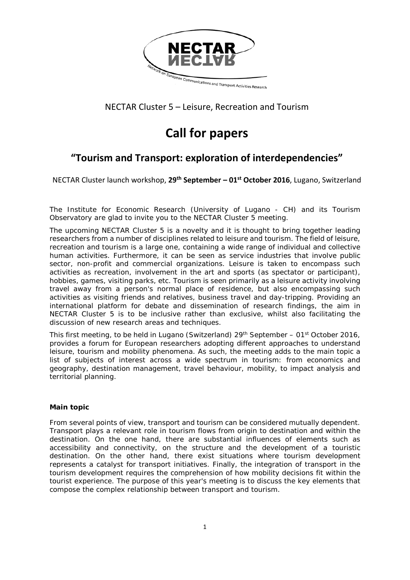

### NECTAR Cluster 5 – Leisure, Recreation and Tourism

# **Call for papers**

## **"Tourism and Transport: exploration of interdependencies"**

NECTAR Cluster launch workshop, **29th September – 01st October 2016**, Lugano, Switzerland

The Institute for Economic Research (University of Lugano - CH) and its Tourism Observatory are glad to invite you to the NECTAR Cluster 5 meeting.

The upcoming NECTAR Cluster 5 is a novelty and it is thought to bring together leading researchers from a number of disciplines related to leisure and tourism. The field of leisure, recreation and tourism is a large one, containing a wide range of individual and collective human activities. Furthermore, it can be seen as service industries that involve public sector, non-profit and commercial organizations. Leisure is taken to encompass such activities as recreation, involvement in the art and sports (as spectator or participant), hobbies, games, visiting parks, etc. Tourism is seen primarily as a leisure activity involving travel away from a person's normal place of residence, but also encompassing such activities as visiting friends and relatives, business travel and day-tripping. Providing an international platform for debate and dissemination of research findings, the aim in NECTAR Cluster 5 is to be inclusive rather than exclusive, whilst also facilitating the discussion of new research areas and techniques.

This first meeting, to be held in Lugano (Switzerland)  $29<sup>th</sup>$  September – 01<sup>st</sup> October 2016, provides a forum for European researchers adopting different approaches to understand leisure, tourism and mobility phenomena. As such, the meeting adds to the main topic a list of subjects of interest across a wide spectrum in tourism: from economics and geography, destination management, travel behaviour, mobility, to impact analysis and territorial planning.

#### **Main topic**

From several points of view, transport and tourism can be considered mutually dependent. Transport plays a relevant role in tourism flows from origin to destination and within the destination. On the one hand, there are substantial influences of elements such as accessibility and connectivity, on the structure and the development of a touristic destination. On the other hand, there exist situations where tourism development represents a catalyst for transport initiatives. Finally, the integration of transport in the tourism development requires the comprehension of how mobility decisions fit within the tourist experience. The purpose of this year's meeting is to discuss the key elements that compose the complex relationship between transport and tourism.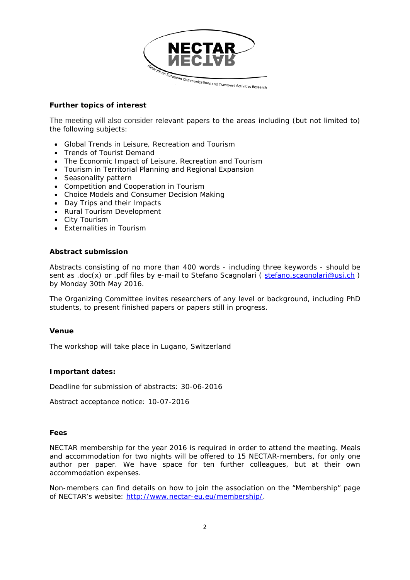

#### **Further topics of interest**

The meeting will also consider relevant papers to the areas including (but not limited to) the following subjects:

- Global Trends in Leisure, Recreation and Tourism
- Trends of Tourist Demand
- The Economic Impact of Leisure, Recreation and Tourism
- Tourism in Territorial Planning and Regional Expansion
- Seasonality pattern
- Competition and Cooperation in Tourism
- Choice Models and Consumer Decision Making
- Day Trips and their Impacts
- Rural Tourism Development
- City Tourism
- Externalities in Tourism

#### **Abstract submission**

Abstracts consisting of no more than 400 words - including three keywords - should be sent as .doc(x) or .pdf files by e-mail to Stefano Scagnolari ( [stefano.scagnolari@usi.ch](mailto:stefano.scagnolari@usi.ch) ) by Monday 30th May 2016.

The Organizing Committee invites researchers of any level or background, including PhD students, to present finished papers or papers still in progress.

#### **Venue**

The workshop will take place in Lugano, Switzerland

#### **Important dates:**

Deadline for submission of abstracts: 30-06-2016

Abstract acceptance notice: 10-07-2016

#### **Fees**

NECTAR membership for the year 2016 is required in order to attend the meeting. Meals and accommodation for two nights will be offered to 15 NECTAR-members, for only one author per paper. We have space for ten further colleagues, but at their own accommodation expenses.

Non-members can find details on how to join the association on the "Membership" page of NECTAR's website: [http://www.nectar-eu.eu/membership/.](http://www.nectar-eu.eu/membership/)